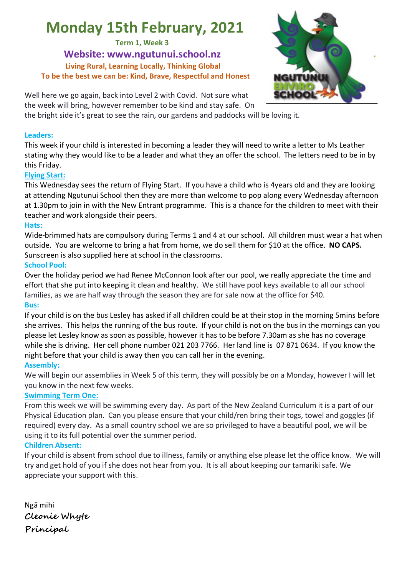# **Monday 15th February, 2021**

**Term 1, Week 3**

**Website: www.ngutunui.school.nz Living Rural, Learning Locally, Thinking Global To be the best we can be: Kind, Brave, Respectful and Honest**



Well here we go again, back into Level 2 with Covid. Not sure what the week will bring, however remember to be kind and stay safe. On

the bright side it's great to see the rain, our gardens and paddocks will be loving it.

#### **Leaders:**

This week if your child is interested in becoming a leader they will need to write a letter to Ms Leather stating why they would like to be a leader and what they an offer the school. The letters need to be in by this Friday.

#### **Flying Start:**

This Wednesday sees the return of Flying Start. If you have a child who is 4years old and they are looking at attending Ngutunui School then they are more than welcome to pop along every Wednesday afternoon at 1.30pm to join in with the New Entrant programme. This is a chance for the children to meet with their teacher and work alongside their peers.

#### **Hats:**

Wide-brimmed hats are compulsory during Terms 1 and 4 at our school. All children must wear a hat when outside. You are welcome to bring a hat from home, we do sell them for \$10 at the office. **NO CAPS.**  Sunscreen is also supplied here at school in the classrooms.

#### **School Pool:**

Over the holiday period we had Renee McConnon look after our pool, we really appreciate the time and effort that she put into keeping it clean and healthy. We still have pool keys available to all our school families, as we are half way through the season they are for sale now at the office for \$40.

#### **Bus:**

If your child is on the bus Lesley has asked if all children could be at their stop in the morning 5mins before she arrives. This helps the running of the bus route. If your child is not on the bus in the mornings can you please let Lesley know as soon as possible, however it has to be before 7.30am as she has no coverage while she is driving. Her cell phone number 021 203 7766. Her land line is 07 871 0634. If you know the night before that your child is away then you can call her in the evening.

#### **Assembly:**

We will begin our assemblies in Week 5 of this term, they will possibly be on a Monday, however I will let you know in the next few weeks.

#### **Swimming Term One:**

From this week we will be swimming every day. As part of the New Zealand Curriculum it is a part of our Physical Education plan. Can you please ensure that your child/ren bring their togs, towel and goggles (if required) every day. As a small country school we are so privileged to have a beautiful pool, we will be using it to its full potential over the summer period.

#### **Children Absent:**

If your child is absent from school due to illness, family or anything else please let the office know. We will try and get hold of you if she does not hear from you. It is all about keeping our tamariki safe. We appreciate your support with this.

| Ngā mihi      |
|---------------|
| Cleonie Whyte |
| Principal     |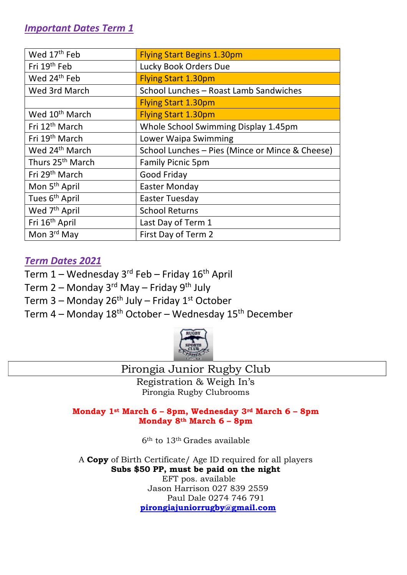| Wed 17th Feb                 | <b>Flying Start Begins 1.30pm</b>               |
|------------------------------|-------------------------------------------------|
| Fri 19th Feb                 | Lucky Book Orders Due                           |
| Wed 24 <sup>th</sup> Feb     | <b>Flying Start 1.30pm</b>                      |
| Wed 3rd March                | School Lunches - Roast Lamb Sandwiches          |
|                              | <b>Flying Start 1.30pm</b>                      |
| Wed 10 <sup>th</sup> March   | <b>Flying Start 1.30pm</b>                      |
| Fri 12 <sup>th</sup> March   | Whole School Swimming Display 1.45pm            |
| Fri 19 <sup>th</sup> March   | Lower Waipa Swimming                            |
| Wed 24 <sup>th</sup> March   | School Lunches - Pies (Mince or Mince & Cheese) |
| Thurs 25 <sup>th</sup> March | <b>Family Picnic 5pm</b>                        |
| Fri 29 <sup>th</sup> March   | Good Friday                                     |
| Mon 5 <sup>th</sup> April    | <b>Easter Monday</b>                            |
| Tues 6 <sup>th</sup> April   | <b>Easter Tuesday</b>                           |
| Wed 7 <sup>th</sup> April    | <b>School Returns</b>                           |
| Fri 16 <sup>th</sup> April   | Last Day of Term 1                              |
| Mon 3rd May                  | First Day of Term 2                             |

# *Term Dates 2021*

- Term  $1$  Wednesday 3<sup>rd</sup> Feb Friday 16<sup>th</sup> April
- Term 2 Monday 3 $^{rd}$  May Friday 9<sup>th</sup> July
- Term 3 Monday 26<sup>th</sup> July Friday 1<sup>st</sup> October
- Term  $4$  Monday  $18<sup>th</sup>$  October Wednesday  $15<sup>th</sup>$  December



## Pirongia Junior Rugby Club

Registration & Weigh In's Pirongia Rugby Clubrooms

**Monday 1st March 6 – 8pm, Wednesday 3rd March 6 – 8pm Monday 8th March 6 – 8pm**

6th to 13th Grades available

A **Copy** of Birth Certificate/ Age ID required for all players **Subs \$50 PP, must be paid on the night**  EFT pos. available

Jason Harrison 027 839 2559 Paul Dale 0274 746 791 **pirongiajuniorrugby@gmail.com**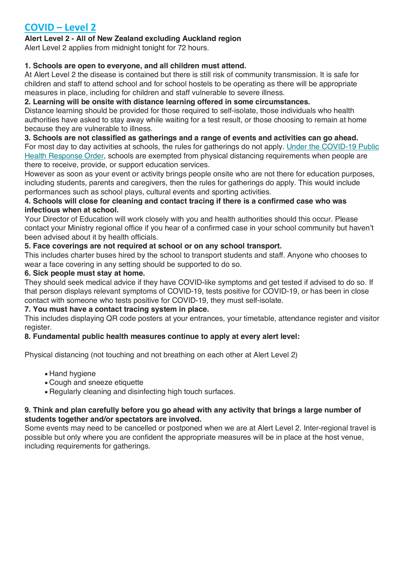# **COVID – Level 2**

#### **Alert Level 2 - All of New Zealand excluding Auckland region**

Alert Level 2 applies from midnight tonight for 72 hours.

#### **1. Schools are open to everyone, and all children must attend.**

At Alert Level 2 the disease is contained but there is still risk of community transmission. It is safe for children and staff to attend school and for school hostels to be operating as there will be appropriate measures in place, including for children and staff vulnerable to severe illness.

#### **2. Learning will be onsite with distance learning offered in some circumstances.**

Distance learning should be provided for those required to self-isolate, those individuals who health authorities have asked to stay away while waiting for a test result, or those choosing to remain at home because they are vulnerable to illness.

#### **3. Schools are not classified as gatherings and a range of events and activities can go ahead.**

For most day to day activities at schools, the rules for gatherings do not apply. Under the COVID-19 Public Health Response Order, schools are exempted from physical distancing requirements when people are there to receive, provide, or support education services.

However as soon as your event or activity brings people onsite who are not there for education purposes, including students, parents and caregivers, then the rules for gatherings do apply. This would include performances such as school plays, cultural events and sporting activities.

#### **4. Schools will close for cleaning and contact tracing if there is a confirmed case who was infectious when at school.**

Your Director of Education will work closely with you and health authorities should this occur. Please contact your Ministry regional office if you hear of a confirmed case in your school community but haven't been advised about it by health officials.

#### **5. Face coverings are not required at school or on any school transport.**

This includes charter buses hired by the school to transport students and staff. Anyone who chooses to wear a face covering in any setting should be supported to do so.

#### **6. Sick people must stay at home.**

They should seek medical advice if they have COVID-like symptoms and get tested if advised to do so. If that person displays relevant symptoms of COVID-19, tests positive for COVID-19, or has been in close contact with someone who tests positive for COVID-19, they must self-isolate.

#### **7. You must have a contact tracing system in place.**

This includes displaying QR code posters at your entrances, your timetable, attendance register and visitor register.

#### **8. Fundamental public health measures continue to apply at every alert level:**

Physical distancing (not touching and not breathing on each other at Alert Level 2)

- Hand hygiene
- Cough and sneeze etiquette
- Regularly cleaning and disinfecting high touch surfaces.

#### **9. Think and plan carefully before you go ahead with any activity that brings a large number of students together and/or spectators are involved.**

Some events may need to be cancelled or postponed when we are at Alert Level 2. Inter-regional travel is possible but only where you are confident the appropriate measures will be in place at the host venue, including requirements for gatherings.